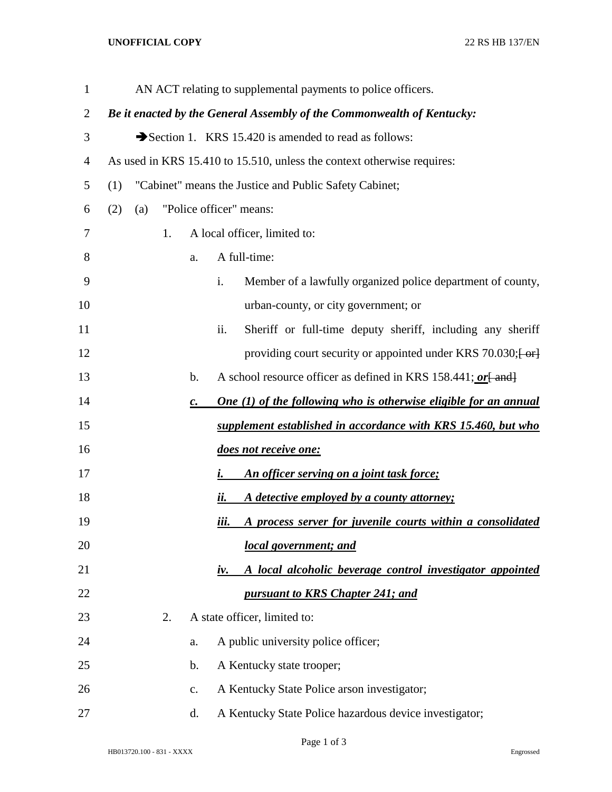## **UNOFFICIAL COPY** 22 RS HB 137/EN

| $\mathbf{1}$   |     |     |    |                | AN ACT relating to supplemental payments to police officers.                          |
|----------------|-----|-----|----|----------------|---------------------------------------------------------------------------------------|
| $\overline{2}$ |     |     |    |                | Be it enacted by the General Assembly of the Commonwealth of Kentucky:                |
| 3              |     |     |    |                | Section 1. KRS 15.420 is amended to read as follows:                                  |
| 4              |     |     |    |                | As used in KRS 15.410 to 15.510, unless the context otherwise requires:               |
| 5              | (1) |     |    |                | "Cabinet" means the Justice and Public Safety Cabinet;                                |
| 6              | (2) | (a) |    |                | "Police officer" means:                                                               |
| 7              |     |     | 1. |                | A local officer, limited to:                                                          |
| 8              |     |     |    | a.             | A full-time:                                                                          |
| 9              |     |     |    |                | i.<br>Member of a lawfully organized police department of county,                     |
| 10             |     |     |    |                | urban-county, or city government; or                                                  |
| 11             |     |     |    |                | Sheriff or full-time deputy sheriff, including any sheriff<br>ii.                     |
| 12             |     |     |    |                | providing court security or appointed under KRS 70.030; $\left\{ -\text{or} \right\}$ |
| 13             |     |     |    | b.             | A school resource officer as defined in KRS 158.441; or [ and]                        |
| 14             |     |     |    | $\mathbf{C}$ . | <b>One (1) of the following who is otherwise eligible for an annual</b>               |
| 15             |     |     |    |                | supplement established in accordance with KRS 15.460, but who                         |
| 16             |     |     |    |                | does not receive one:                                                                 |
| 17             |     |     |    |                | An officer serving on a joint task force;<br>i.                                       |
| 18             |     |     |    |                | A detective employed by a county attorney;<br><u>ii.</u>                              |
| 19             |     |     |    |                | A process server for juvenile courts within a consolidated<br><u>iii.</u>             |
| 20             |     |     |    |                | local government; and                                                                 |
| 21             |     |     |    |                | A local alcoholic beverage control investigator appointed<br>iv.                      |
| 22             |     |     |    |                | pursuant to KRS Chapter 241; and                                                      |
| 23             |     |     | 2. |                | A state officer, limited to:                                                          |
| 24             |     |     |    | a.             | A public university police officer;                                                   |
| 25             |     |     |    | b.             | A Kentucky state trooper;                                                             |
| 26             |     |     |    | $C_{\bullet}$  | A Kentucky State Police arson investigator;                                           |
| 27             |     |     |    | d.             | A Kentucky State Police hazardous device investigator;                                |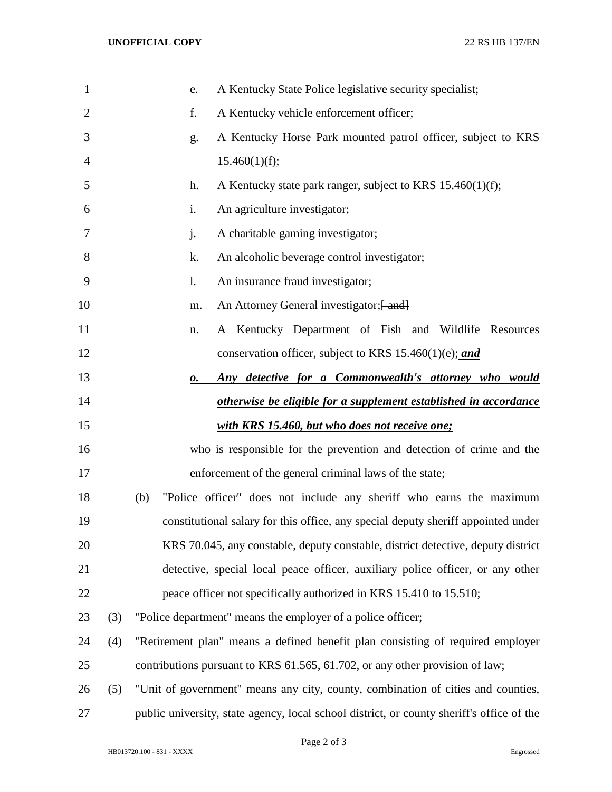| $\mathbf{1}$   |     | A Kentucky State Police legislative security specialist;<br>e.                            |
|----------------|-----|-------------------------------------------------------------------------------------------|
| $\overline{2}$ |     | f.<br>A Kentucky vehicle enforcement officer;                                             |
| 3              |     | A Kentucky Horse Park mounted patrol officer, subject to KRS<br>g.                        |
| $\overline{4}$ |     | 15.460(1)(f);                                                                             |
| 5              |     | A Kentucky state park ranger, subject to KRS 15.460(1)(f);<br>h.                          |
| 6              |     | An agriculture investigator;<br>i.                                                        |
| 7              |     | j.<br>A charitable gaming investigator;                                                   |
| 8              |     | k.<br>An alcoholic beverage control investigator;                                         |
| 9              |     | An insurance fraud investigator;<br>1.                                                    |
| 10             |     | An Attorney General investigator; [ and]<br>m.                                            |
| 11             |     | A Kentucky Department of Fish and Wildlife Resources<br>n.                                |
| 12             |     | conservation officer, subject to KRS 15.460(1)(e); and                                    |
| 13             |     | Any detective for a Commonwealth's attorney who would<br>о.                               |
| 14             |     | otherwise be eligible for a supplement established in accordance                          |
| 15             |     | with KRS 15.460, but who does not receive one;                                            |
| 16             |     | who is responsible for the prevention and detection of crime and the                      |
| 17             |     | enforcement of the general criminal laws of the state;                                    |
| 18             |     | "Police officer" does not include any sheriff who earns the maximum<br>(b)                |
| 19             |     | constitutional salary for this office, any special deputy sheriff appointed under         |
| 20             |     | KRS 70.045, any constable, deputy constable, district detective, deputy district          |
| 21             |     | detective, special local peace officer, auxiliary police officer, or any other            |
| 22             |     | peace officer not specifically authorized in KRS 15.410 to 15.510;                        |
| 23             | (3) | "Police department" means the employer of a police officer;                               |
| 24             | (4) | "Retirement plan" means a defined benefit plan consisting of required employer            |
| 25             |     | contributions pursuant to KRS 61.565, 61.702, or any other provision of law;              |
| 26             | (5) | "Unit of government" means any city, county, combination of cities and counties,          |
| 27             |     | public university, state agency, local school district, or county sheriff's office of the |